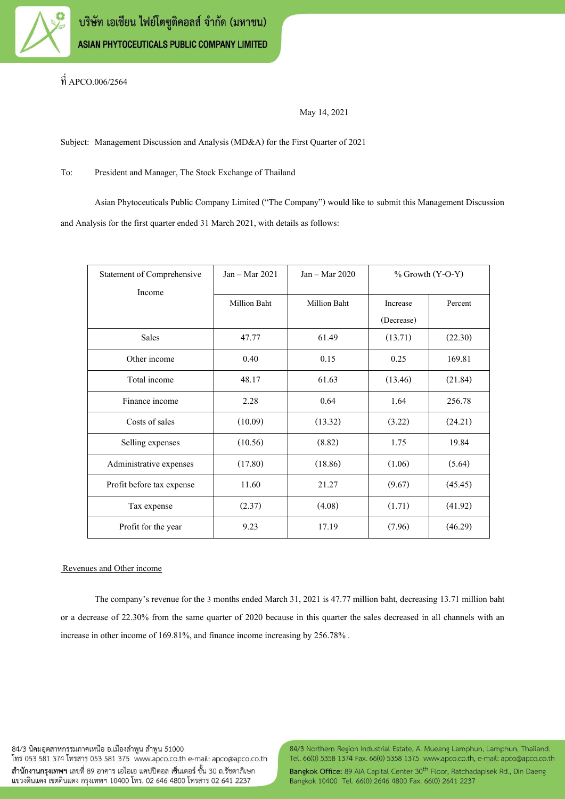

ที่ APCO.006/2564

May 14, 2021

Subject: Management Discussion and Analysis (MD&A) for the First Quarter of 2021

To: President and Manager, The Stock Exchange of Thailand

Asian Phytoceuticals Public Company Limited ("The Company") would like to submit this Management Discussion and Analysis for the first quarter ended 31 March 2021, with details as follows:

| Statement of Comprehensive | $Jan - Mar 2021$ | $Jan - Mar 2020$    | $%$ Growth $(Y-O-Y)$   |         |
|----------------------------|------------------|---------------------|------------------------|---------|
| Income                     | Million Baht     | <b>Million Baht</b> | Increase<br>(Decrease) | Percent |
| <b>Sales</b>               | 47.77            | 61.49               | (13.71)                | (22.30) |
| Other income               | 0.40             | 0.15                | 0.25                   | 169.81  |
| Total income               | 48.17            | 61.63               | (13.46)                | (21.84) |
| Finance income             | 2.28             | 0.64                | 1.64                   | 256.78  |
| Costs of sales             | (10.09)          | (13.32)             | (3.22)                 | (24.21) |
| Selling expenses           | (10.56)          | (8.82)              | 1.75                   | 19.84   |
| Administrative expenses    | (17.80)          | (18.86)             | (1.06)                 | (5.64)  |
| Profit before tax expense  | 11.60            | 21.27               | (9.67)                 | (45.45) |
| Tax expense                | (2.37)           | (4.08)              | (1.71)                 | (41.92) |
| Profit for the year        | 9.23             | 17.19               | (7.96)                 | (46.29) |

## Revenues and Other income

The company's revenue for the 3 months ended March 31, 2021 is 47.77 million baht, decreasing 13.71 million baht or a decrease of 22.30% from the same quarter of 2020 because in this quarter the sales decreased in all channels with an increase in other income of 169.81%, and finance income increasing by 256.78%.

84/3 นิคมอตสาหกรรมภาคเหนือ อ.เมืองลำพน ลำพน 51000 โทร 053 581 374 โทรสาร 053 581 375 www.apco.co.th e-mail: apco@apco.co.th ้สำนักงานกรุงเทพฯ เลขที่ 89 อาคาร เอไอเอ แคปปิตอล เซ็นเตอร์ ชั้น 30 ถ.รัชดาภิเษก แขวงดินแดง เขตดินแดง กรุงเทพฯ 10400 โทร. 02 646 4800 โทรสาร 02 641 2237

84/3 Northern Region Industrial Estate, A. Mueang Lamphun, Lamphun, Thailand. Tel. 66(0) 5358 1374 Fax. 66(0) 5358 1375 www.apco.co.th, e-mail: apco@apco.co.th

Bangkok Office: 89 AIA Capital Center 30<sup>th</sup> Floor, Ratchadapisek Rd., Din Daeng Bangkok 10400 Tel. 66(0) 2646 4800 Fax. 66(0) 2641 2237